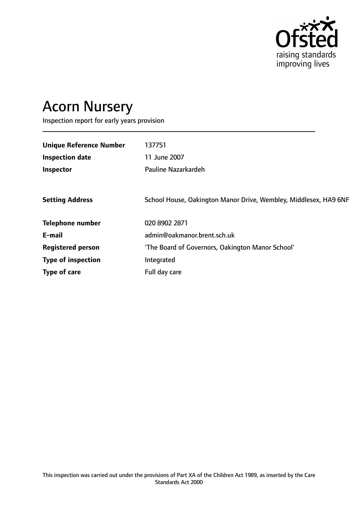

# Acorn Nursery

Inspection report for early years provision

| 137751                                                           |
|------------------------------------------------------------------|
| 11 June 2007                                                     |
| Pauline Nazarkardeh                                              |
|                                                                  |
| School House, Oakington Manor Drive, Wembley, Middlesex, HA9 6NF |
| 020 8902 2871                                                    |
| admin@oakmanor.brent.sch.uk                                      |
| 'The Board of Governors, Oakington Manor School'                 |
| Integrated                                                       |
| Full day care                                                    |
|                                                                  |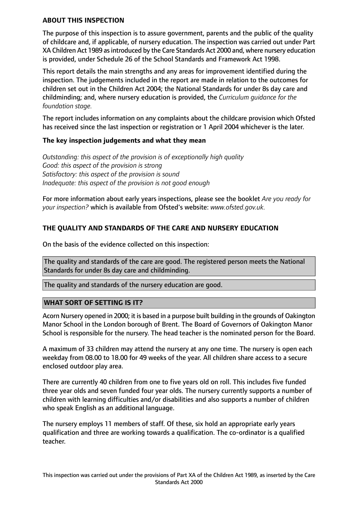#### **ABOUT THIS INSPECTION**

The purpose of this inspection is to assure government, parents and the public of the quality of childcare and, if applicable, of nursery education. The inspection was carried out under Part XA Children Act 1989 as introduced by the Care Standards Act 2000 and, where nursery education is provided, under Schedule 26 of the School Standards and Framework Act 1998.

This report details the main strengths and any areas for improvement identified during the inspection. The judgements included in the report are made in relation to the outcomes for children set out in the Children Act 2004; the National Standards for under 8s day care and childminding; and, where nursery education is provided, the *Curriculum guidance for the foundation stage.*

The report includes information on any complaints about the childcare provision which Ofsted has received since the last inspection or registration or 1 April 2004 whichever is the later.

#### **The key inspection judgements and what they mean**

*Outstanding: this aspect of the provision is of exceptionally high quality Good: this aspect of the provision is strong Satisfactory: this aspect of the provision is sound Inadequate: this aspect of the provision is not good enough*

For more information about early years inspections, please see the booklet *Are you ready for your inspection?* which is available from Ofsted's website: *www.ofsted.gov.uk.*

# **THE QUALITY AND STANDARDS OF THE CARE AND NURSERY EDUCATION**

On the basis of the evidence collected on this inspection:

The quality and standards of the care are good. The registered person meets the National Standards for under 8s day care and childminding.

The quality and standards of the nursery education are good.

## **WHAT SORT OF SETTING IS IT?**

Acorn Nursery opened in 2000; it is based in a purpose built building in the grounds of Oakington Manor School in the London borough of Brent. The Board of Governors of Oakington Manor School is responsible for the nursery. The head teacher is the nominated person for the Board.

A maximum of 33 children may attend the nursery at any one time. The nursery is open each weekday from 08.00 to 18.00 for 49 weeks of the year. All children share access to a secure enclosed outdoor play area.

There are currently 40 children from one to five years old on roll. This includes five funded three year olds and seven funded four year olds. The nursery currently supports a number of children with learning difficulties and/or disabilities and also supports a number of children who speak English as an additional language.

The nursery employs 11 members of staff. Of these, six hold an appropriate early years qualification and three are working towards a qualification. The co-ordinator is a qualified teacher.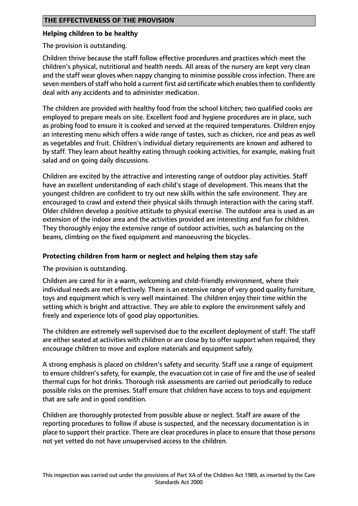#### **Helping children to be healthy**

The provision is outstanding.

Children thrive because the staff follow effective procedures and practices which meet the children's physical, nutritional and health needs. All areas of the nursery are kept very clean and the staff wear gloves when nappy changing to minimise possible cross infection. There are seven members of staff who hold a current first aid certificate which enables them to confidently deal with any accidents and to administer medication.

The children are provided with healthy food from the school kitchen; two qualified cooks are employed to prepare meals on site. Excellent food and hygiene procedures are in place, such as probing food to ensure it is cooked and served at the required temperatures. Children enjoy an interesting menu which offers a wide range of tastes, such as chicken, rice and peas as well as vegetables and fruit. Children's individual dietary requirements are known and adhered to by staff. They learn about healthy eating through cooking activities, for example, making fruit salad and on going daily discussions.

Children are excited by the attractive and interesting range of outdoor play activities. Staff have an excellent understanding of each child's stage of development. This means that the youngest children are confident to try out new skills within the safe environment. They are encouraged to crawl and extend their physical skills through interaction with the caring staff. Older children develop a positive attitude to physical exercise. The outdoor area is used as an extension of the indoor area and the activities provided are interesting and fun for children. They thoroughly enjoy the extensive range of outdoor activities, such as balancing on the beams, climbing on the fixed equipment and manoeuvring the bicycles.

## **Protecting children from harm or neglect and helping them stay safe**

The provision is outstanding.

Children are cared for in a warm, welcoming and child-friendly environment, where their individual needs are met effectively. There is an extensive range of very good quality furniture, toys and equipment which is very well maintained. The children enjoy their time within the setting which is bright and attractive. They are able to explore the environment safely and freely and experience lots of good play opportunities.

The children are extremely well supervised due to the excellent deployment of staff. The staff are either seated at activities with children or are close by to offer support when required, they encourage children to move and explore materials and equipment safely.

A strong emphasis is placed on children's safety and security. Staff use a range of equipment to ensure children's safety, for example, the evacuation cot in case of fire and the use of sealed thermal cups for hot drinks. Thorough risk assessments are carried out periodically to reduce possible risks on the premises. Staff ensure that children have access to toys and equipment that are safe and in good condition.

Children are thoroughly protected from possible abuse or neglect. Staff are aware of the reporting procedures to follow if abuse is suspected, and the necessary documentation is in place to support their practice. There are clear procedures in place to ensure that those persons not yet vetted do not have unsupervised access to the children.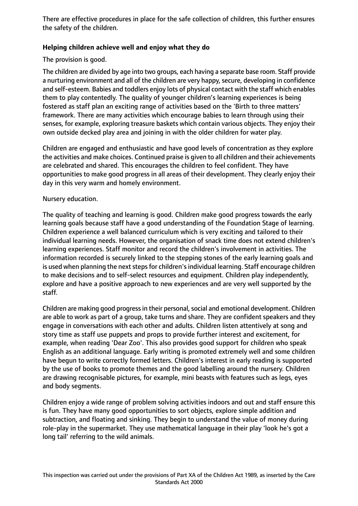There are effective procedures in place for the safe collection of children, this further ensures the safety of the children.

# **Helping children achieve well and enjoy what they do**

The provision is good.

The children are divided by age into two groups, each having a separate base room. Staff provide a nurturing environment and all of the children are very happy, secure, developing in confidence and self-esteem. Babies and toddlers enjoy lots of physical contact with the staff which enables them to play contentedly. The quality of younger children's learning experiences is being fostered as staff plan an exciting range of activities based on the 'Birth to three matters' framework. There are many activities which encourage babies to learn through using their senses, for example, exploring treasure baskets which contain various objects. They enjoy their own outside decked play area and joining in with the older children for water play.

Children are engaged and enthusiastic and have good levels of concentration as they explore the activities and make choices. Continued praise is given to all children and their achievements are celebrated and shared. This encourages the children to feel confident. They have opportunities to make good progress in all areas of their development. They clearly enjoy their day in this very warm and homely environment.

## Nursery education.

The quality of teaching and learning is good. Children make good progress towards the early learning goals because staff have a good understanding of the Foundation Stage of learning. Children experience a well balanced curriculum which is very exciting and tailored to their individual learning needs. However, the organisation of snack time does not extend children's learning experiences. Staff monitor and record the children's involvement in activities. The information recorded is securely linked to the stepping stones of the early learning goals and is used when planning the next steps for children's individual learning. Staff encourage children to make decisions and to self-select resources and equipment. Children play independently, explore and have a positive approach to new experiences and are very well supported by the staff.

Children are making good progress in their personal, social and emotional development. Children are able to work as part of a group, take turns and share. They are confident speakers and they engage in conversations with each other and adults. Children listen attentively at song and story time as staff use puppets and props to provide further interest and excitement, for example, when reading 'Dear Zoo'. This also provides good support for children who speak English as an additional language. Early writing is promoted extremely well and some children have begun to write correctly formed letters. Children's interest in early reading is supported by the use of books to promote themes and the good labelling around the nursery. Children are drawing recognisable pictures, for example, mini beasts with features such as legs, eyes and body segments.

Children enjoy a wide range of problem solving activities indoors and out and staff ensure this is fun. They have many good opportunities to sort objects, explore simple addition and subtraction, and floating and sinking. They begin to understand the value of money during role-play in the supermarket. They use mathematical language in their play 'look he's got a long tail' referring to the wild animals.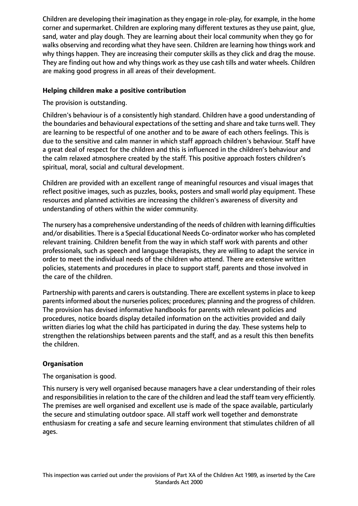Children are developing their imagination as they engage in role-play, for example, in the home corner and supermarket. Children are exploring many different textures as they use paint, glue, sand, water and play dough. They are learning about their local community when they go for walks observing and recording what they have seen. Children are learning how things work and why things happen. They are increasing their computer skills as they click and drag the mouse. They are finding out how and why things work as they use cash tills and water wheels. Children are making good progress in all areas of their development.

## **Helping children make a positive contribution**

The provision is outstanding.

Children's behaviour is of a consistently high standard. Children have a good understanding of the boundaries and behavioural expectations of the setting and share and take turns well. They are learning to be respectful of one another and to be aware of each others feelings. This is due to the sensitive and calm manner in which staff approach children's behaviour. Staff have a great deal of respect for the children and this is influenced in the children's behaviour and the calm relaxed atmosphere created by the staff. This positive approach fosters children's spiritual, moral, social and cultural development.

Children are provided with an excellent range of meaningful resources and visual images that reflect positive images, such as puzzles, books, posters and small world play equipment. These resources and planned activities are increasing the children's awareness of diversity and understanding of others within the wider community.

The nursery has a comprehensive understanding of the needs of children with learning difficulties and/or disabilities. There is a Special Educational Needs Co-ordinator worker who has completed relevant training. Children benefit from the way in which staff work with parents and other professionals, such as speech and language therapists, they are willing to adapt the service in order to meet the individual needs of the children who attend. There are extensive written policies, statements and procedures in place to support staff, parents and those involved in the care of the children.

Partnership with parents and carers is outstanding. There are excellent systems in place to keep parents informed about the nurseries polices; procedures; planning and the progress of children. The provision has devised informative handbooks for parents with relevant policies and procedures, notice boards display detailed information on the activities provided and daily written diaries log what the child has participated in during the day. These systems help to strengthen the relationships between parents and the staff, and as a result this then benefits the children.

# **Organisation**

The organisation is good.

This nursery is very well organised because managers have a clear understanding of their roles and responsibilities in relation to the care of the children and lead the staff team very efficiently. The premises are well organised and excellent use is made of the space available, particularly the secure and stimulating outdoor space. All staff work well together and demonstrate enthusiasm for creating a safe and secure learning environment that stimulates children of all ages.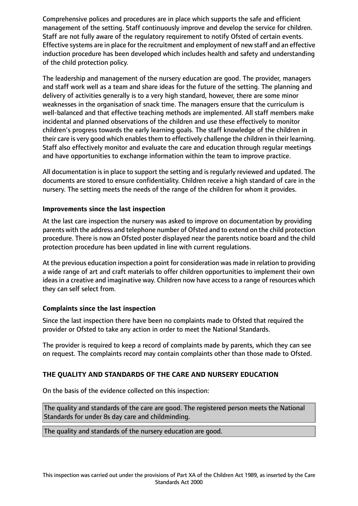Comprehensive polices and procedures are in place which supports the safe and efficient management of the setting. Staff continuously improve and develop the service for children. Staff are not fully aware of the regulatory requirement to notify Ofsted of certain events. Effective systems are in place for the recruitment and employment of new staff and an effective induction procedure has been developed which includes health and safety and understanding of the child protection policy.

The leadership and management of the nursery education are good. The provider, managers and staff work well as a team and share ideas for the future of the setting. The planning and delivery of activities generally is to a very high standard, however, there are some minor weaknesses in the organisation of snack time. The managers ensure that the curriculum is well-balanced and that effective teaching methods are implemented. All staff members make incidental and planned observations of the children and use these effectively to monitor children's progress towards the early learning goals. The staff knowledge of the children in their care is very good which enables them to effectively challenge the children in their learning. Staff also effectively monitor and evaluate the care and education through regular meetings and have opportunities to exchange information within the team to improve practice.

All documentation is in place to support the setting and is regularly reviewed and updated. The documents are stored to ensure confidentiality. Children receive a high standard of care in the nursery. The setting meets the needs of the range of the children for whom it provides.

## **Improvements since the last inspection**

At the last care inspection the nursery was asked to improve on documentation by providing parents with the address and telephone number of Ofsted and to extend on the child protection procedure. There is now an Ofsted poster displayed near the parents notice board and the child protection procedure has been updated in line with current regulations.

At the previous education inspection a point for consideration was made in relation to providing a wide range of art and craft materials to offer children opportunities to implement their own ideas in a creative and imaginative way. Children now have access to a range of resources which they can self select from.

## **Complaints since the last inspection**

Since the last inspection there have been no complaints made to Ofsted that required the provider or Ofsted to take any action in order to meet the National Standards.

The provider is required to keep a record of complaints made by parents, which they can see on request. The complaints record may contain complaints other than those made to Ofsted.

## **THE QUALITY AND STANDARDS OF THE CARE AND NURSERY EDUCATION**

On the basis of the evidence collected on this inspection:

The quality and standards of the care are good. The registered person meets the National Standards for under 8s day care and childminding.

The quality and standards of the nursery education are good.